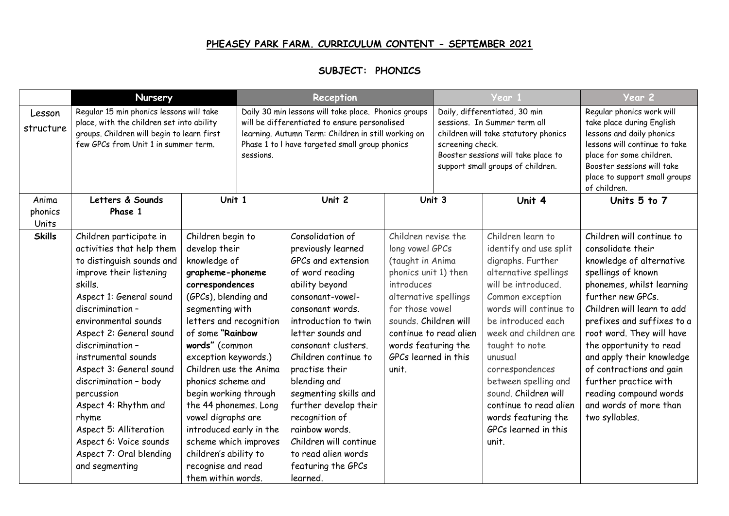## **PHEASEY PARK FARM. CURRICULUM CONTENT - SEPTEMBER 2021**

## **SUBJECT: PHONICS**

|                     | Nursery                                                                                                                                                                                                                                                                                                                                                                                                                                                                  |                                                                                                                                                                                                                                                                                                                                                                                                                                                                                | Reception                                                                                                                                                                                                                   |                                                                                                                                                                                                                                                                                                                                                                                                                                                  |                                                                                                                                                                                                                               | Year 1                                                                                                                                                                                                |                                                                                                                                                                                                                                                                                                                                                                                                 | Year 2                                                                                                                                                                                                                                                                                                                                                                                                                         |
|---------------------|--------------------------------------------------------------------------------------------------------------------------------------------------------------------------------------------------------------------------------------------------------------------------------------------------------------------------------------------------------------------------------------------------------------------------------------------------------------------------|--------------------------------------------------------------------------------------------------------------------------------------------------------------------------------------------------------------------------------------------------------------------------------------------------------------------------------------------------------------------------------------------------------------------------------------------------------------------------------|-----------------------------------------------------------------------------------------------------------------------------------------------------------------------------------------------------------------------------|--------------------------------------------------------------------------------------------------------------------------------------------------------------------------------------------------------------------------------------------------------------------------------------------------------------------------------------------------------------------------------------------------------------------------------------------------|-------------------------------------------------------------------------------------------------------------------------------------------------------------------------------------------------------------------------------|-------------------------------------------------------------------------------------------------------------------------------------------------------------------------------------------------------|-------------------------------------------------------------------------------------------------------------------------------------------------------------------------------------------------------------------------------------------------------------------------------------------------------------------------------------------------------------------------------------------------|--------------------------------------------------------------------------------------------------------------------------------------------------------------------------------------------------------------------------------------------------------------------------------------------------------------------------------------------------------------------------------------------------------------------------------|
| Lesson<br>structure | Regular 15 min phonics lessons will take<br>place, with the children set into ability<br>groups. Children will begin to learn first<br>few GPCs from Unit 1 in summer term.                                                                                                                                                                                                                                                                                              |                                                                                                                                                                                                                                                                                                                                                                                                                                                                                | Daily 30 min lessons will take place. Phonics groups<br>will be differentiated to ensure personalised<br>learning. Autumn Term: Children in still working on<br>Phase 1 to I have targeted small group phonics<br>sessions. |                                                                                                                                                                                                                                                                                                                                                                                                                                                  |                                                                                                                                                                                                                               | Daily, differentiated, 30 min<br>sessions. In Summer term all<br>children will take statutory phonics<br>screening check.<br>Booster sessions will take place to<br>support small groups of children. |                                                                                                                                                                                                                                                                                                                                                                                                 | Regular phonics work will<br>take place during English<br>lessons and daily phonics<br>lessons will continue to take<br>place for some children.<br>Booster sessions will take<br>place to support small groups<br>of children.                                                                                                                                                                                                |
| Anima               | Letters & Sounds                                                                                                                                                                                                                                                                                                                                                                                                                                                         | Unit 1                                                                                                                                                                                                                                                                                                                                                                                                                                                                         |                                                                                                                                                                                                                             | Unit 2                                                                                                                                                                                                                                                                                                                                                                                                                                           |                                                                                                                                                                                                                               | Unit 3                                                                                                                                                                                                | Unit 4                                                                                                                                                                                                                                                                                                                                                                                          | Units 5 to 7                                                                                                                                                                                                                                                                                                                                                                                                                   |
| phonics<br>Units    | Phase 1                                                                                                                                                                                                                                                                                                                                                                                                                                                                  |                                                                                                                                                                                                                                                                                                                                                                                                                                                                                |                                                                                                                                                                                                                             |                                                                                                                                                                                                                                                                                                                                                                                                                                                  |                                                                                                                                                                                                                               |                                                                                                                                                                                                       |                                                                                                                                                                                                                                                                                                                                                                                                 |                                                                                                                                                                                                                                                                                                                                                                                                                                |
| <b>Skills</b>       | Children participate in<br>activities that help them<br>to distinguish sounds and<br>improve their listening<br>skills.<br>Aspect 1: General sound<br>discrimination -<br>environmental sounds<br>Aspect 2: General sound<br>discrimination -<br>instrumental sounds<br>Aspect 3: General sound<br>discrimination - body<br>percussion<br>Aspect 4: Rhythm and<br>rhyme<br>Aspect 5: Alliteration<br>Aspect 6: Voice sounds<br>Aspect 7: Oral blending<br>and segmenting | Children begin to<br>develop their<br>knowledge of<br>grapheme-phoneme<br>correspondences<br>(GPCs), blending and<br>segmenting with<br>letters and recognition<br>of some "Rainbow<br>words" (common<br>exception keywords.)<br>Children use the Anima<br>phonics scheme and<br>begin working through<br>the 44 phonemes. Long<br>vowel digraphs are<br>introduced early in the<br>scheme which improves<br>children's ability to<br>recognise and read<br>them within words. |                                                                                                                                                                                                                             | Consolidation of<br>previously learned<br>GPCs and extension<br>of word reading<br>ability beyond<br>consonant-vowel-<br>consonant words.<br>introduction to twin<br>letter sounds and<br>consonant clusters.<br>Children continue to<br>practise their<br>blending and<br>segmenting skills and<br>further develop their<br>recognition of<br>rainbow words.<br>Children will continue<br>to read alien words<br>featuring the GPCs<br>learned. | Children revise the<br>long vowel GPCs<br>(taught in Anima<br>phonics unit 1) then<br>introduces<br>alternative spellings<br>for those vowel<br>sounds. Children will<br>words featuring the<br>GPCs learned in this<br>unit. | continue to read alien                                                                                                                                                                                | Children learn to<br>identify and use split<br>digraphs. Further<br>alternative spellings<br>will be introduced.<br>Common exception<br>words will continue to<br>be introduced each<br>week and children are<br>taught to note<br>unusual<br>correspondences<br>between spelling and<br>sound. Children will<br>continue to read alien<br>words featuring the<br>GPCs learned in this<br>unit. | Children will continue to<br>consolidate their<br>knowledge of alternative<br>spellings of known<br>phonemes, whilst learning<br>further new GPCs.<br>Children will learn to add<br>prefixes and suffixes to a<br>root word. They will have<br>the opportunity to read<br>and apply their knowledge<br>of contractions and gain<br>further practice with<br>reading compound words<br>and words of more than<br>two syllables. |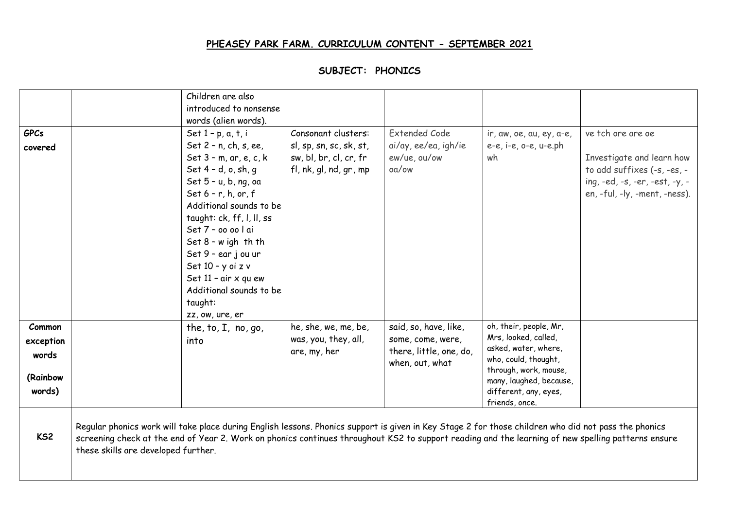## **PHEASEY PARK FARM. CURRICULUM CONTENT - SEPTEMBER 2021**

|                                          |                                                                                                                                                                                                                                                                                                                                                   | Children are also<br>introduced to nonsense<br>words (alien words).                                                                                                                                                                                                                                                                                                                              |                                                                                                    |                                                                       |                                                                                                                           |                                                                                                                                                  |
|------------------------------------------|---------------------------------------------------------------------------------------------------------------------------------------------------------------------------------------------------------------------------------------------------------------------------------------------------------------------------------------------------|--------------------------------------------------------------------------------------------------------------------------------------------------------------------------------------------------------------------------------------------------------------------------------------------------------------------------------------------------------------------------------------------------|----------------------------------------------------------------------------------------------------|-----------------------------------------------------------------------|---------------------------------------------------------------------------------------------------------------------------|--------------------------------------------------------------------------------------------------------------------------------------------------|
| <b>GPCs</b><br>covered                   |                                                                                                                                                                                                                                                                                                                                                   | Set $1 - p$ , $a$ , $t$ , $i$<br>Set 2 - n, ch, s, ee,<br>Set $3 - m$ , ar, e, c, k<br>Set 4 - d, o, sh, q<br>Set 5 - u, b, ng, oa<br>Set $6 - r$ , h, or, f<br>Additional sounds to be<br>taught: ck, ff, l, ll, ss<br>Set 7 - oo oo l ai<br>Set $8 - w$ igh th th<br>Set 9 - ear j ou ur<br>Set 10 - y oi z v<br>Set 11 - air x qu ew<br>Additional sounds to be<br>taught:<br>zz, ow, ure, er | Consonant clusters:<br>sl, sp, sn, sc, sk, st,<br>sw, bl, br, cl, cr, fr<br>fl, nk, gl, nd, gr, mp | <b>Extended Code</b><br>ai/ay, ee/ea, igh/ie<br>ew/ue, ou/ow<br>oa/ow | ir, aw, oe, au, ey, a-e,<br>e-e, i-e, o-e, u-e.ph<br>wh                                                                   | ve tch ore are oe<br>Investigate and learn how<br>to add suffixes (-s, -es, -<br>ing, -ed, -s, -er, -est, -y, -<br>en, -ful, -ly, -ment, -ness). |
| Common                                   |                                                                                                                                                                                                                                                                                                                                                   | the, to, $I$ , no, go,                                                                                                                                                                                                                                                                                                                                                                           | he, she, we, me, be,<br>was, you, they, all,                                                       | said, so, have, like,<br>some, come, were,                            | oh, their, people, Mr,<br>Mrs, looked, called,                                                                            |                                                                                                                                                  |
| exception<br>words<br>(Rainbow<br>words) |                                                                                                                                                                                                                                                                                                                                                   | into                                                                                                                                                                                                                                                                                                                                                                                             | are, my, her                                                                                       | there, little, one, do,<br>when, out, what                            | asked, water, where,<br>who, could, thought,<br>through, work, mouse,<br>many, laughed, because,<br>different, any, eyes, |                                                                                                                                                  |
| KS <sub>2</sub>                          | Regular phonics work will take place during English lessons. Phonics support is given in Key Stage 2 for those children who did not pass the phonics<br>screening check at the end of Year 2. Work on phonics continues throughout KS2 to support reading and the learning of new spelling patterns ensure<br>these skills are developed further. |                                                                                                                                                                                                                                                                                                                                                                                                  |                                                                                                    |                                                                       | friends, once.                                                                                                            |                                                                                                                                                  |

## **SUBJECT: PHONICS**